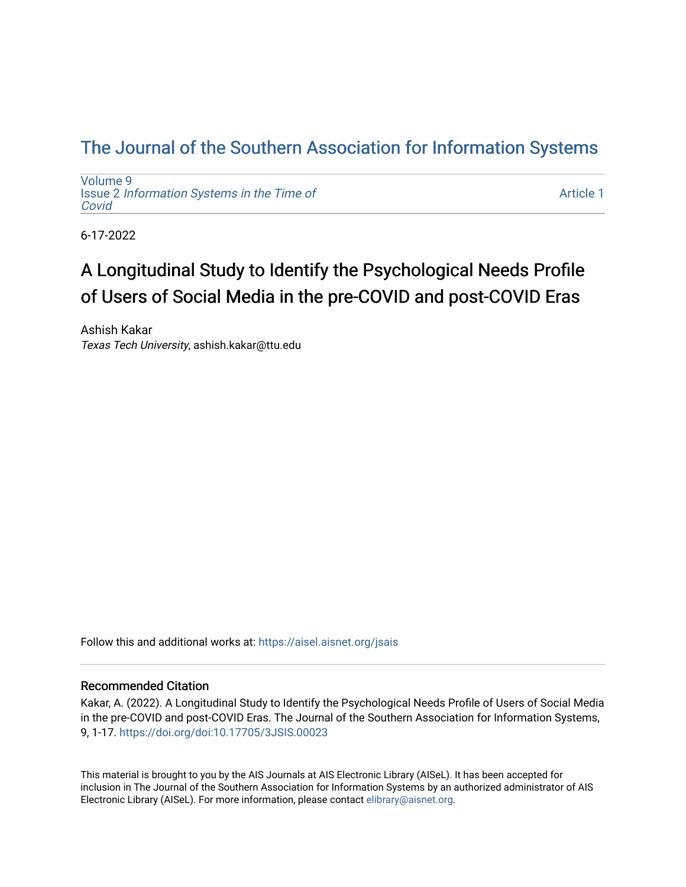# [The Journal of the Southern Association for Information Systems](https://aisel.aisnet.org/jsais)

[Volume 9](https://aisel.aisnet.org/jsais/vol9) Issue 2 [Information Systems in the Time of](https://aisel.aisnet.org/jsais/vol9/iss2)  [Covid](https://aisel.aisnet.org/jsais/vol9/iss2) 

[Article 1](https://aisel.aisnet.org/jsais/vol9/iss2/1) 

6-17-2022

# A Longitudinal Study to Identify the Psychological Needs Profile of Users of Social Media in the pre-COVID and post-COVID Eras

Ashish Kakar Texas Tech University, ashish.kakar@ttu.edu

Follow this and additional works at: [https://aisel.aisnet.org/jsais](https://aisel.aisnet.org/jsais?utm_source=aisel.aisnet.org%2Fjsais%2Fvol9%2Fiss2%2F1&utm_medium=PDF&utm_campaign=PDFCoverPages) 

#### Recommended Citation

Kakar, A. (2022). A Longitudinal Study to Identify the Psychological Needs Profile of Users of Social Media in the pre-COVID and post-COVID Eras. The Journal of the Southern Association for Information Systems, 9, 1-17. <https://doi.org/doi:10.17705/3JSIS.00023>

This material is brought to you by the AIS Journals at AIS Electronic Library (AISeL). It has been accepted for inclusion in The Journal of the Southern Association for Information Systems by an authorized administrator of AIS Electronic Library (AISeL). For more information, please contact [elibrary@aisnet.org.](mailto:elibrary@aisnet.org%3E)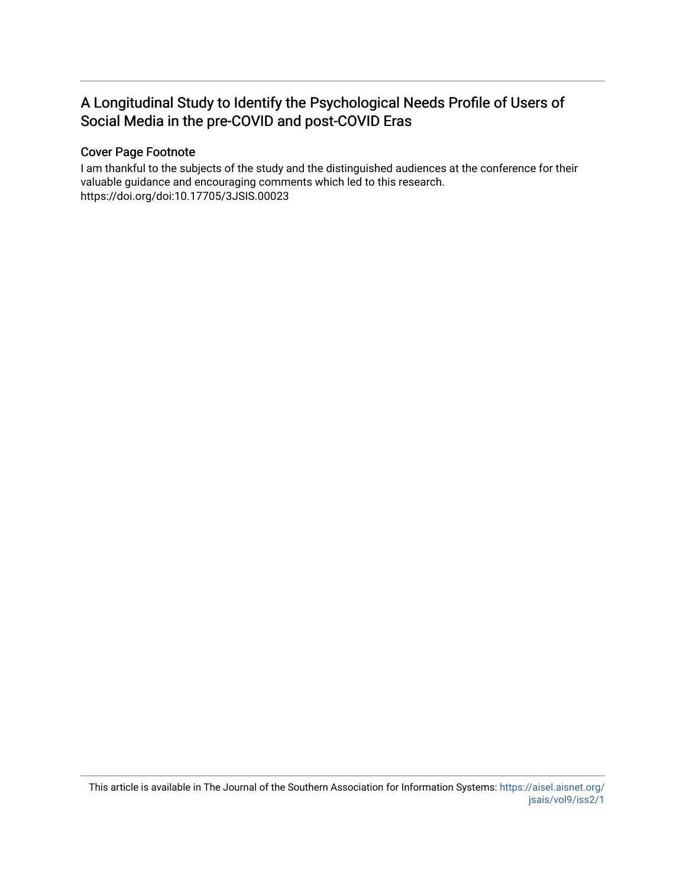# A Longitudinal Study to Identify the Psychological Needs Profile of Users of Social Media in the pre-COVID and post-COVID Eras

# Cover Page Footnote

I am thankful to the subjects of the study and the distinguished audiences at the conference for their valuable guidance and encouraging comments which led to this research. https://doi.org/doi:10.17705/3JSIS.00023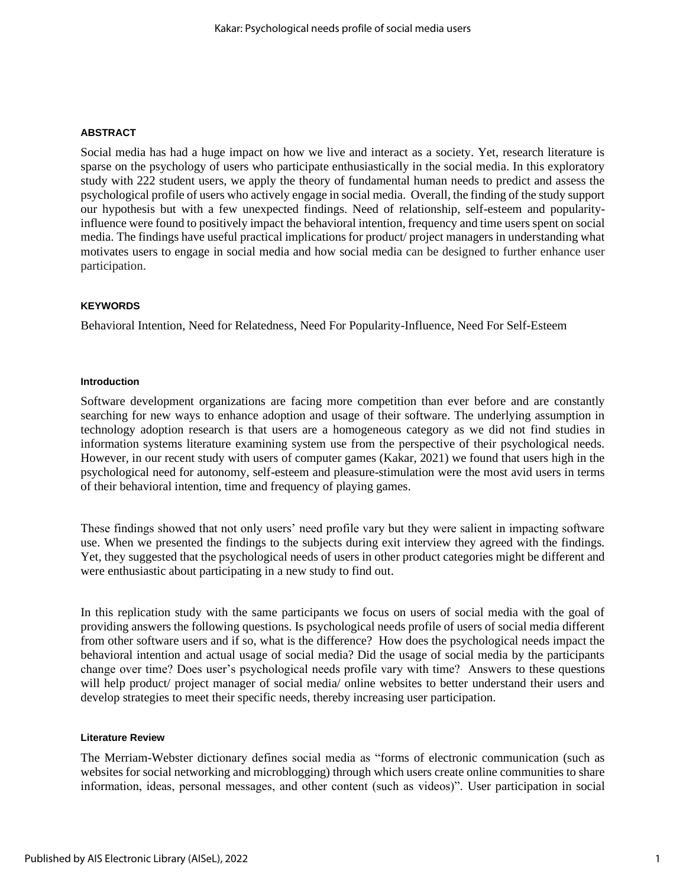#### **ABSTRACT**

Social media has had a huge impact on how we live and interact as a society. Yet, research literature is sparse on the psychology of users who participate enthusiastically in the social media. In this exploratory study with 222 student users, we apply the theory of fundamental human needs to predict and assess the psychological profile of users who actively engage in social media. Overall, the finding of the study support our hypothesis but with a few unexpected findings. Need of relationship, self-esteem and popularityinfluence were found to positively impact the behavioral intention, frequency and time users spent on social media. The findings have useful practical implications for product/ project managers in understanding what motivates users to engage in social media and how social media can be designed to further enhance user participation.

#### **KEYWORDS**

Behavioral Intention, Need for Relatedness, Need For Popularity-Influence, Need For Self-Esteem

#### **Introduction**

Software development organizations are facing more competition than ever before and are constantly searching for new ways to enhance adoption and usage of their software. The underlying assumption in technology adoption research is that users are a homogeneous category as we did not find studies in information systems literature examining system use from the perspective of their psychological needs. However, in our recent study with users of computer games (Kakar, 2021) we found that users high in the psychological need for autonomy, self-esteem and pleasure-stimulation were the most avid users in terms of their behavioral intention, time and frequency of playing games.

These findings showed that not only users' need profile vary but they were salient in impacting software use. When we presented the findings to the subjects during exit interview they agreed with the findings. Yet, they suggested that the psychological needs of users in other product categories might be different and were enthusiastic about participating in a new study to find out.

In this replication study with the same participants we focus on users of social media with the goal of providing answers the following questions. Is psychological needs profile of users of social media different from other software users and if so, what is the difference? How does the psychological needs impact the behavioral intention and actual usage of social media? Did the usage of social media by the participants change over time? Does user's psychological needs profile vary with time? Answers to these questions will help product/ project manager of social media/ online websites to better understand their users and develop strategies to meet their specific needs, thereby increasing user participation.

#### **Literature Review**

The Merriam-Webster dictionary defines social media as "forms of electronic communication (such as websites for social networking and microblogging) through which users create online communities to share information, ideas, personal messages, and other content (such as videos)". User participation in social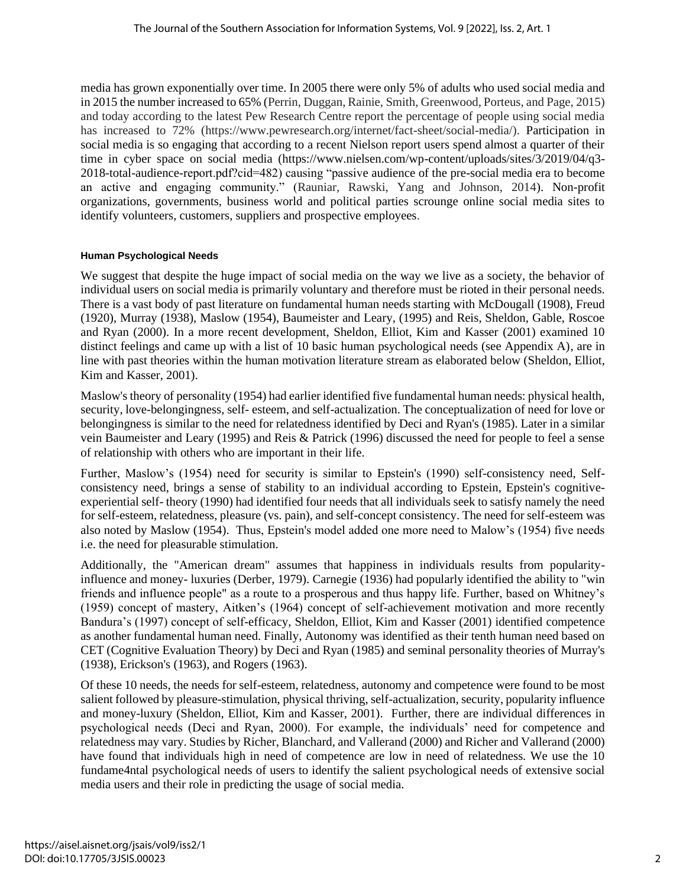media has grown exponentially over time. In 2005 there were only 5% of adults who used social media and in 2015 the number increased to 65% (Perrin, Duggan, Rainie, Smith, Greenwood, Porteus, and Page, 2015) and today according to the latest Pew Research Centre report the percentage of people using social media has increased to 72% (https://www.pewresearch.org/internet/fact-sheet/social-media/). Participation in social media is so engaging that according to a recent Nielson report users spend almost a quarter of their time in cyber space on social media (https://www.nielsen.com/wp-content/uploads/sites/3/2019/04/q3- 2018-total-audience-report.pdf?cid=482) causing "passive audience of the pre-social media era to become an active and engaging community." (Rauniar, Rawski, Yang and Johnson, 2014). Non-profit organizations, governments, business world and political parties scrounge online social media sites to identify volunteers, customers, suppliers and prospective employees.

# **Human Psychological Needs**

We suggest that despite the huge impact of social media on the way we live as a society, the behavior of individual users on social media is primarily voluntary and therefore must be rioted in their personal needs. There is a vast body of past literature on fundamental human needs starting with McDougall (1908), Freud (1920), Murray (1938), Maslow (1954), Baumeister and Leary, (1995) and Reis, Sheldon, Gable, Roscoe and Ryan (2000). In a more recent development, Sheldon, Elliot, Kim and Kasser (2001) examined 10 distinct feelings and came up with a list of 10 basic human psychological needs (see Appendix A), are in line with past theories within the human motivation literature stream as elaborated below (Sheldon, Elliot, Kim and Kasser, 2001).

Maslow's theory of personality (1954) had earlier identified five fundamental human needs: physical health, security, love-belongingness, self- esteem, and self-actualization. The conceptualization of need for love or belongingness is similar to the need for relatedness identified by Deci and Ryan's (1985). Later in a similar vein Baumeister and Leary (1995) and Reis & Patrick (1996) discussed the need for people to feel a sense of relationship with others who are important in their life.

Further, Maslow's (1954) need for security is similar to Epstein's (1990) self-consistency need, Selfconsistency need, brings a sense of stability to an individual according to Epstein, Epstein's cognitiveexperiential self- theory (1990) had identified four needs that all individuals seek to satisfy namely the need for self-esteem, relatedness, pleasure (vs. pain), and self-concept consistency. The need for self-esteem was also noted by Maslow (1954). Thus, Epstein's model added one more need to Malow's (1954) five needs i.e. the need for pleasurable stimulation.

Additionally, the "American dream" assumes that happiness in individuals results from popularityinfluence and money- luxuries (Derber, 1979). Carnegie (1936) had popularly identified the ability to "win friends and influence people" as a route to a prosperous and thus happy life. Further, based on Whitney's (1959) concept of mastery, Aitken's (1964) concept of self-achievement motivation and more recently Bandura's (1997) concept of self-efficacy, Sheldon, Elliot, Kim and Kasser (2001) identified competence as another fundamental human need. Finally, Autonomy was identified as their tenth human need based on CET (Cognitive Evaluation Theory) by Deci and Ryan (1985) and seminal personality theories of Murray's (1938), Erickson's (1963), and Rogers (1963).

Of these 10 needs, the needs for self-esteem, relatedness, autonomy and competence were found to be most salient followed by pleasure-stimulation, physical thriving, self-actualization, security, popularity influence and money-luxury (Sheldon, Elliot, Kim and Kasser, 2001). Further, there are individual differences in psychological needs (Deci and Ryan, 2000). For example, the individuals' need for competence and relatedness may vary. Studies by Richer, Blanchard, and Vallerand (2000) and Richer and Vallerand (2000) have found that individuals high in need of competence are low in need of relatedness. We use the 10 fundame4ntal psychological needs of users to identify the salient psychological needs of extensive social media users and their role in predicting the usage of social media.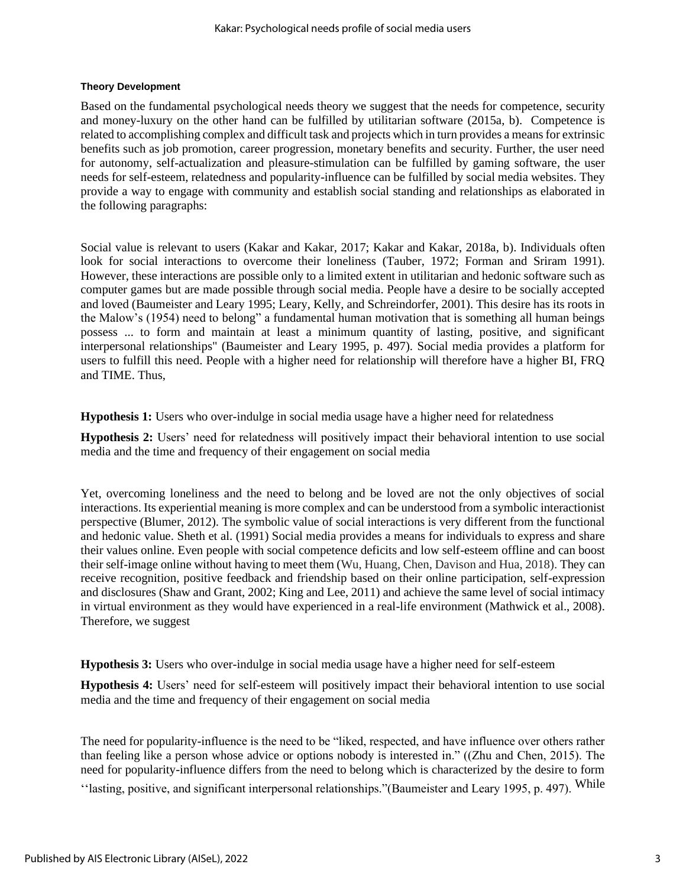# **Theory Development**

Based on the fundamental psychological needs theory we suggest that the needs for competence, security and money-luxury on the other hand can be fulfilled by utilitarian software (2015a, b). Competence is related to accomplishing complex and difficult task and projects which in turn provides a means for extrinsic benefits such as job promotion, career progression, monetary benefits and security. Further, the user need for autonomy, self-actualization and pleasure-stimulation can be fulfilled by gaming software, the user needs for self-esteem, relatedness and popularity-influence can be fulfilled by social media websites. They provide a way to engage with community and establish social standing and relationships as elaborated in the following paragraphs:

Social value is relevant to users (Kakar and Kakar, 2017; Kakar and Kakar, 2018a, b). Individuals often look for social interactions to overcome their loneliness (Tauber, 1972; Forman and Sriram 1991). However, these interactions are possible only to a limited extent in utilitarian and hedonic software such as computer games but are made possible through social media. People have a desire to be socially accepted and loved (Baumeister and Leary 1995; Leary, Kelly, and Schreindorfer, 2001). This desire has its roots in the Malow's (1954) need to belong" a fundamental human motivation that is something all human beings possess ... to form and maintain at least a minimum quantity of lasting, positive, and significant interpersonal relationships" (Baumeister and Leary 1995, p. 497). Social media provides a platform for users to fulfill this need. People with a higher need for relationship will therefore have a higher BI, FRQ and TIME. Thus,

**Hypothesis 1:** Users who over-indulge in social media usage have a higher need for relatedness

**Hypothesis 2:** Users' need for relatedness will positively impact their behavioral intention to use social media and the time and frequency of their engagement on social media

Yet, overcoming loneliness and the need to belong and be loved are not the only objectives of social interactions. Its experiential meaning is more complex and can be understood from a symbolic interactionist perspective (Blumer, 2012). The symbolic value of social interactions is very different from the functional and hedonic value. Sheth et al. (1991) Social media provides a means for individuals to express and share their values online. Even people with social competence deficits and low self-esteem offline and can boost their self-image online without having to meet them (Wu, Huang, Chen, Davison and Hua, 2018). They can receive recognition, positive feedback and friendship based on their online participation, self-expression and disclosures (Shaw and Grant, 2002; King and Lee, 2011) and achieve the same level of social intimacy in virtual environment as they would have experienced in a real-life environment (Mathwick et al., 2008). Therefore, we suggest

**Hypothesis 3:** Users who over-indulge in social media usage have a higher need for self-esteem

**Hypothesis 4:** Users' need for self-esteem will positively impact their behavioral intention to use social media and the time and frequency of their engagement on social media

The need for popularity-influence is the need to be "liked, respected, and have influence over others rather than feeling like a person whose advice or options nobody is interested in." ((Zhu and Chen, 2015). The need for popularity-influence differs from the need to belong which is characterized by the desire to form ''lasting, positive, and significant interpersonal relationships."(Baumeister and Leary 1995, p. 497). While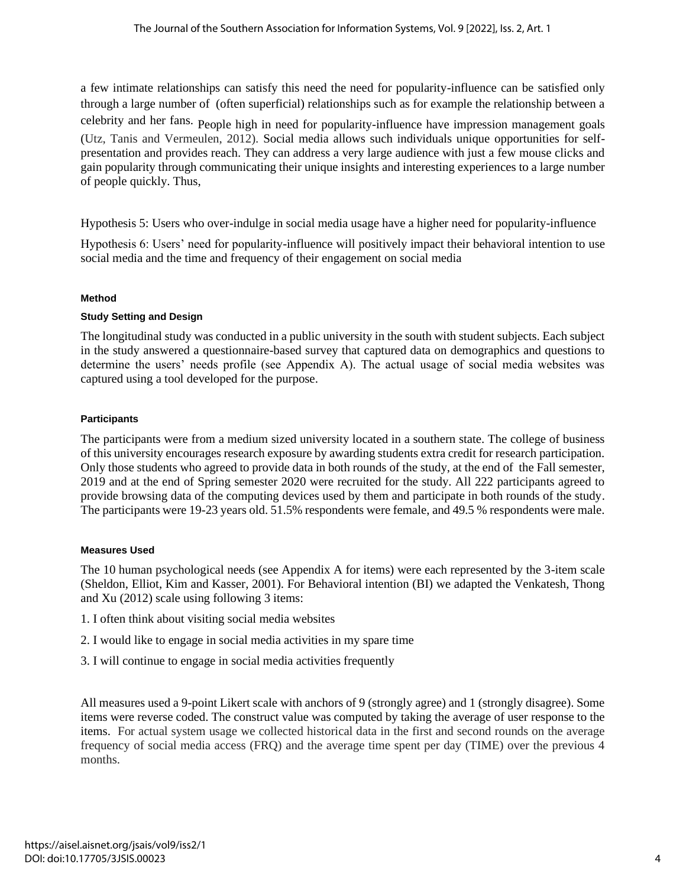a few intimate relationships can satisfy this need the need for popularity-influence can be satisfied only through a large number of (often superficial) relationships such as for example the relationship between a celebrity and her fans. People high in need for popularity-influence have impression management goals (Utz, Tanis and Vermeulen, 2012). Social media allows such individuals unique opportunities for selfpresentation and provides reach. They can address a very large audience with just a few mouse clicks and gain popularity through communicating their unique insights and interesting experiences to a large number of people quickly. Thus,

Hypothesis 5: Users who over-indulge in social media usage have a higher need for popularity-influence

Hypothesis 6: Users' need for popularity-influence will positively impact their behavioral intention to use social media and the time and frequency of their engagement on social media

#### **Method**

#### **Study Setting and Design**

The longitudinal study was conducted in a public university in the south with student subjects. Each subject in the study answered a questionnaire-based survey that captured data on demographics and questions to determine the users' needs profile (see Appendix A). The actual usage of social media websites was captured using a tool developed for the purpose.

#### **Participants**

The participants were from a medium sized university located in a southern state. The college of business of this university encourages research exposure by awarding students extra credit for research participation. Only those students who agreed to provide data in both rounds of the study, at the end of the Fall semester, 2019 and at the end of Spring semester 2020 were recruited for the study. All 222 participants agreed to provide browsing data of the computing devices used by them and participate in both rounds of the study. The participants were 19-23 years old. 51.5% respondents were female, and 49.5 % respondents were male.

#### **Measures Used**

The 10 human psychological needs (see Appendix A for items) were each represented by the 3-item scale (Sheldon, Elliot, Kim and Kasser, 2001). For Behavioral intention (BI) we adapted the Venkatesh, Thong and Xu (2012) scale using following 3 items:

- 1. I often think about visiting social media websites
- 2. I would like to engage in social media activities in my spare time
- 3. I will continue to engage in social media activities frequently

All measures used a 9-point Likert scale with anchors of 9 (strongly agree) and 1 (strongly disagree). Some items were reverse coded. The construct value was computed by taking the average of user response to the items. For actual system usage we collected historical data in the first and second rounds on the average frequency of social media access (FRQ) and the average time spent per day (TIME) over the previous 4 months.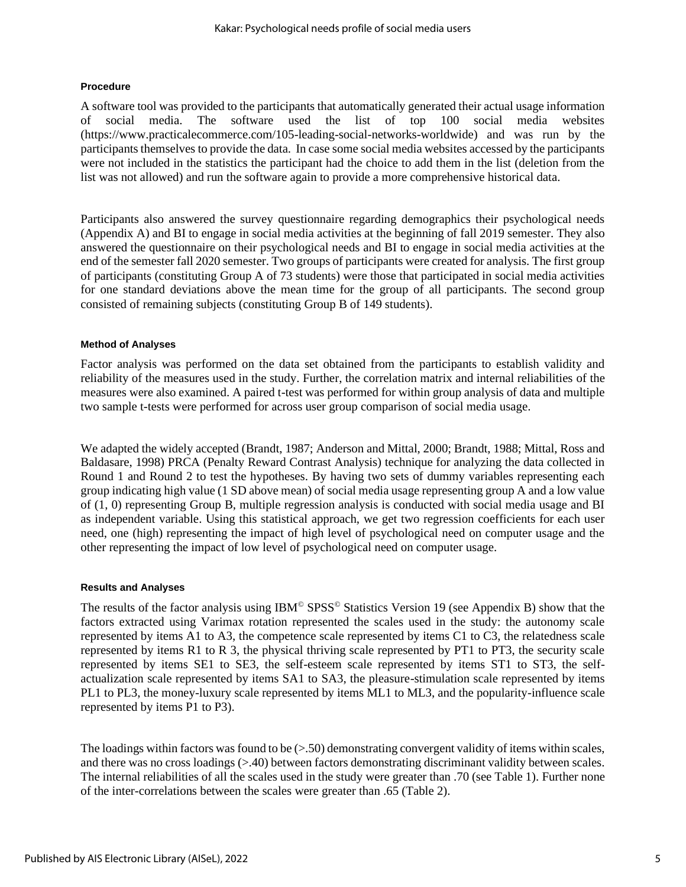# **Procedure**

A software tool was provided to the participants that automatically generated their actual usage information of social media. The software used the list of top 100 social media websites (https://www.practicalecommerce.com/105-leading-social-networks-worldwide) and was run by the participants themselves to provide the data. In case some social media websites accessed by the participants were not included in the statistics the participant had the choice to add them in the list (deletion from the list was not allowed) and run the software again to provide a more comprehensive historical data.

Participants also answered the survey questionnaire regarding demographics their psychological needs (Appendix A) and BI to engage in social media activities at the beginning of fall 2019 semester. They also answered the questionnaire on their psychological needs and BI to engage in social media activities at the end of the semester fall 2020 semester. Two groups of participants were created for analysis. The first group of participants (constituting Group A of 73 students) were those that participated in social media activities for one standard deviations above the mean time for the group of all participants. The second group consisted of remaining subjects (constituting Group B of 149 students).

# **Method of Analyses**

Factor analysis was performed on the data set obtained from the participants to establish validity and reliability of the measures used in the study. Further, the correlation matrix and internal reliabilities of the measures were also examined. A paired t-test was performed for within group analysis of data and multiple two sample t-tests were performed for across user group comparison of social media usage.

We adapted the widely accepted (Brandt, 1987; Anderson and Mittal, 2000; Brandt, 1988; Mittal, Ross and Baldasare, 1998) PRCA (Penalty Reward Contrast Analysis) technique for analyzing the data collected in Round 1 and Round 2 to test the hypotheses. By having two sets of dummy variables representing each group indicating high value (1 SD above mean) of social media usage representing group A and a low value of (1, 0) representing Group B, multiple regression analysis is conducted with social media usage and BI as independent variable. Using this statistical approach, we get two regression coefficients for each user need, one (high) representing the impact of high level of psychological need on computer usage and the other representing the impact of low level of psychological need on computer usage.

#### **Results and Analyses**

The results of the factor analysis using IBM<sup>©</sup> SPSS<sup>©</sup> Statistics Version 19 (see Appendix B) show that the factors extracted using Varimax rotation represented the scales used in the study: the autonomy scale represented by items A1 to A3, the competence scale represented by items C1 to C3, the relatedness scale represented by items R1 to R 3, the physical thriving scale represented by PT1 to PT3, the security scale represented by items SE1 to SE3, the self-esteem scale represented by items ST1 to ST3, the selfactualization scale represented by items SA1 to SA3, the pleasure-stimulation scale represented by items PL1 to PL3, the money-luxury scale represented by items ML1 to ML3, and the popularity-influence scale represented by items P1 to P3).

The loadings within factors was found to be  $(> 50)$  demonstrating convergent validity of items within scales, and there was no cross loadings (>.40) between factors demonstrating discriminant validity between scales. The internal reliabilities of all the scales used in the study were greater than .70 (see Table 1). Further none of the inter-correlations between the scales were greater than .65 (Table 2).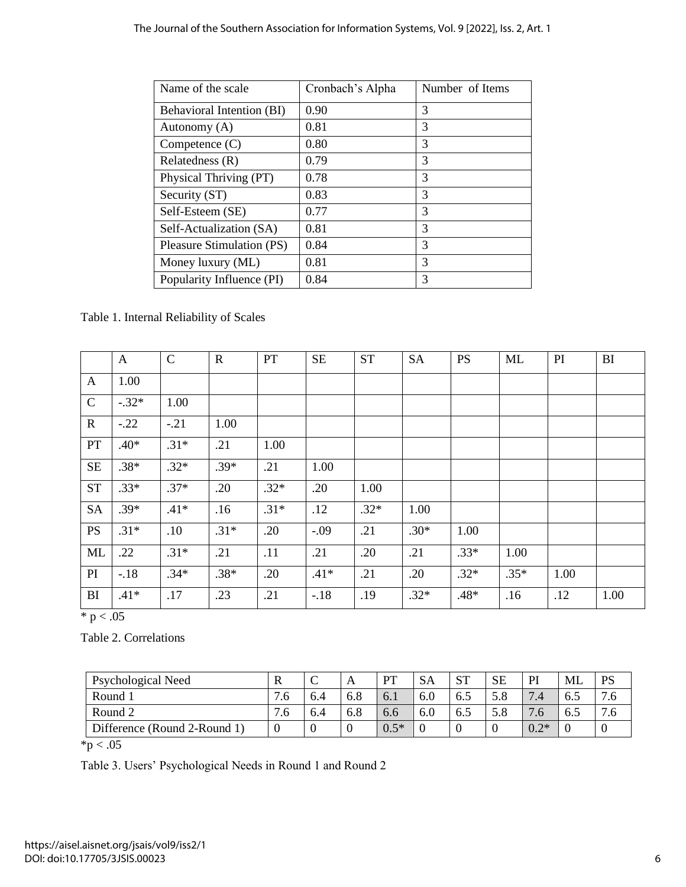| Name of the scale         | Cronbach's Alpha | Number of Items |
|---------------------------|------------------|-----------------|
| Behavioral Intention (BI) | 0.90             | 3               |
| Autonomy (A)              | 0.81             | 3               |
| Competence $(C)$          | 0.80             | 3               |
| Relatedness (R)           | 0.79             | 3               |
| Physical Thriving (PT)    | 0.78             | 3               |
| Security (ST)             | 0.83             | 3               |
| Self-Esteem (SE)          | 0.77             | 3               |
| Self-Actualization (SA)   | 0.81             | 3               |
| Pleasure Stimulation (PS) | 0.84             | 3               |
| Money luxury (ML)         | 0.81             | 3               |
| Popularity Influence (PI) | 0.84             | 3               |

Table 1. Internal Reliability of Scales

|              | $\mathbf{A}$ | $\mathsf{C}$ | $\mathbf R$ | PT     | <b>SE</b> | <b>ST</b> | <b>SA</b> | <b>PS</b> | <b>ML</b> | PI   | <b>BI</b> |
|--------------|--------------|--------------|-------------|--------|-----------|-----------|-----------|-----------|-----------|------|-----------|
| $\mathbf{A}$ | 1.00         |              |             |        |           |           |           |           |           |      |           |
| $\mathbf C$  | $-.32*$      | 1.00         |             |        |           |           |           |           |           |      |           |
| $\mathbf R$  | $-.22$       | $-.21$       | 1.00        |        |           |           |           |           |           |      |           |
| PT           | $.40*$       | $.31*$       | .21         | 1.00   |           |           |           |           |           |      |           |
| $\rm SE$     | $.38*$       | $.32*$       | $.39*$      | .21    | 1.00      |           |           |           |           |      |           |
| <b>ST</b>    | $.33*$       | $.37*$       | .20         | $.32*$ | .20       | 1.00      |           |           |           |      |           |
| <b>SA</b>    | $.39*$       | $.41*$       | .16         | $.31*$ | .12       | $.32*$    | 1.00      |           |           |      |           |
| <b>PS</b>    | $.31*$       | .10          | $.31*$      | .20    | $-.09$    | .21       | $.30*$    | 1.00      |           |      |           |
| ML           | .22          | $.31*$       | .21         | .11    | .21       | .20       | .21       | $.33*$    | 1.00      |      |           |
| PI           | $-.18$       | $.34*$       | $.38*$      | .20    | $.41*$    | .21       | .20       | $.32*$    | $.35*$    | 1.00 |           |
| BI           | $.41*$       | .17          | .23         | .21    | $-18$     | .19       | $.32*$    | .48*      | .16       | .12  | 1.00      |

 $* p < .05$ 

Table 2. Correlations

| Psychological Need           | R                   | ◡   | А   | <b>DT</b> | <b>SA</b> | $C^{\mathsf{T}}$<br>ΩI | SЕ  | PI                   | ML  | DС  |
|------------------------------|---------------------|-----|-----|-----------|-----------|------------------------|-----|----------------------|-----|-----|
| Round 1                      | $\mathbf{r}$<br>. 6 | 6.4 | 6.8 | 6.1       | 6.0       | 6.5                    |     | $\overline{ }$<br>.4 | 6.5 | .6  |
| Round 2                      | 7.0                 | 6.4 | 6.8 | 6.6       | 6.0       | 6.5                    | D.ŏ | $\cdot$ .0           | 6.5 | . ხ |
| Difference (Round 2-Round 1) |                     |     | ν   | $0.5*$    |           |                        |     | $0.2*$               |     |     |

 $*_{p < .05}$ 

Table 3. Users' Psychological Needs in Round 1 and Round 2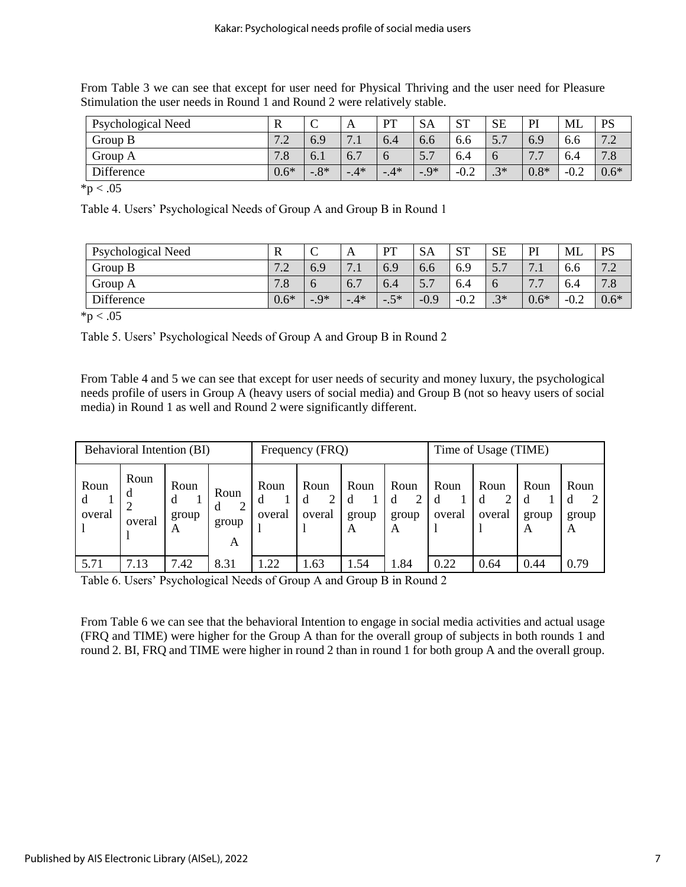| $\beta$ umulation the user fields in Kound 1 and Kound 2 were relatively stable. |        |       |                             |       |           |           |               |         |        |           |
|----------------------------------------------------------------------------------|--------|-------|-----------------------------|-------|-----------|-----------|---------------|---------|--------|-----------|
| Psychological Need                                                               |        |       |                             | PT    | <b>SA</b> | <b>ST</b> | SЕ            | PI      | ML     | <b>PS</b> |
| Group B                                                                          | 7 2    | 6.9   | 7 <sub>1</sub><br>$\cdot$ . | 6.4   | 0.6       | 6.6       | 5.7           | 6.9     | 0.6    | 7.2       |
| Group A                                                                          | 7.8    | 0.1   | 6.,                         |       |           | 6.4       | $\mathfrak b$ | 77<br>. | 6.4    | 7.8       |
| Difference                                                                       | $0.6*$ | $-8*$ | $-4*$                       | $-4*$ | $-9*$     | $-0.2$    | $2*$          | $0.8*$  | $-0.2$ | $0.6*$    |

From Table 3 we can see that except for user need for Physical Thriving and the user need for Pleasure Stimulation the user needs in Round 1 and Round 2 were relatively stable.

 $*p < .05$ 

Table 4. Users' Psychological Needs of Group A and Group B in Round 1

| Psychological Need | R                         | ◡     | A                                  | DТ    | <b>SA</b>                         | $\alpha$ T<br>ΩĪ | <b>SE</b>                       | PI                                          | ML     | <b>PS</b>            |
|--------------------|---------------------------|-------|------------------------------------|-------|-----------------------------------|------------------|---------------------------------|---------------------------------------------|--------|----------------------|
| Group B            | 7 <sub>2</sub><br>$\cdot$ | 6.9   | $\overline{ }$<br>$\overline{1}$ . | 6.9   | 6.6                               | 6.9              | $\overline{\phantom{0}}$<br>ن ر | $\mathbf{r}$<br>$\overline{\phantom{a}}$    | 0.0    | $\sim$<br>$\cdot$    |
| Group A            | 7.8                       |       | $\overline{\phantom{0}}$<br>6.7    | 6.4   | $\overline{\phantom{0}}$<br>ر . د | 6.4              | $\sigma$                        | $\mathbf{r}$<br>$\overline{ }$<br>$\cdot$ . | 6.4    | -<br>$^{\prime}$ . O |
| Difference         | $0.6*$                    | $-9*$ | $-4*$                              | $-5*$ | $-0.9$                            | $-0.2$           | $2*$<br>$\cdot$ J               | $0.6*$                                      | $-0.4$ | $0.6*$               |

 $*\overline{p}$  < .05

Table 5. Users' Psychological Needs of Group A and Group B in Round 2

From Table 4 and 5 we can see that except for user needs of security and money luxury, the psychological needs profile of users in Group A (heavy users of social media) and Group B (not so heavy users of social media) in Round 1 as well and Round 2 were significantly different.

|                     | Behavioral Intention (BI) |                         |                         |                     | Frequency (FRQ)     |                         |                    |                | Time of Usage (TIME) |                         |                         |
|---------------------|---------------------------|-------------------------|-------------------------|---------------------|---------------------|-------------------------|--------------------|----------------|----------------------|-------------------------|-------------------------|
| Roun<br>d<br>overal | Roun<br>đ<br>overal       | Roun<br>d<br>group<br>A | Roun<br>d<br>group<br>A | Roun<br>d<br>overal | Roun<br>d<br>overal | Roun<br>d<br>group<br>A | Roun<br>group<br>А | Roun<br>overal | Roun<br>d<br>overal  | Roun<br>d<br>group<br>A | Roun<br>d<br>group<br>A |
| 5.71                | 7.13                      | 7.42                    | 8.31                    | .22                 | .63                 | 1.54                    | 1.84               | 0.22           | 0.64                 | 0.44                    | 0.79                    |

Table 6. Users' Psychological Needs of Group A and Group B in Round 2

From Table 6 we can see that the behavioral Intention to engage in social media activities and actual usage (FRQ and TIME) were higher for the Group A than for the overall group of subjects in both rounds 1 and round 2. BI, FRQ and TIME were higher in round 2 than in round 1 for both group A and the overall group.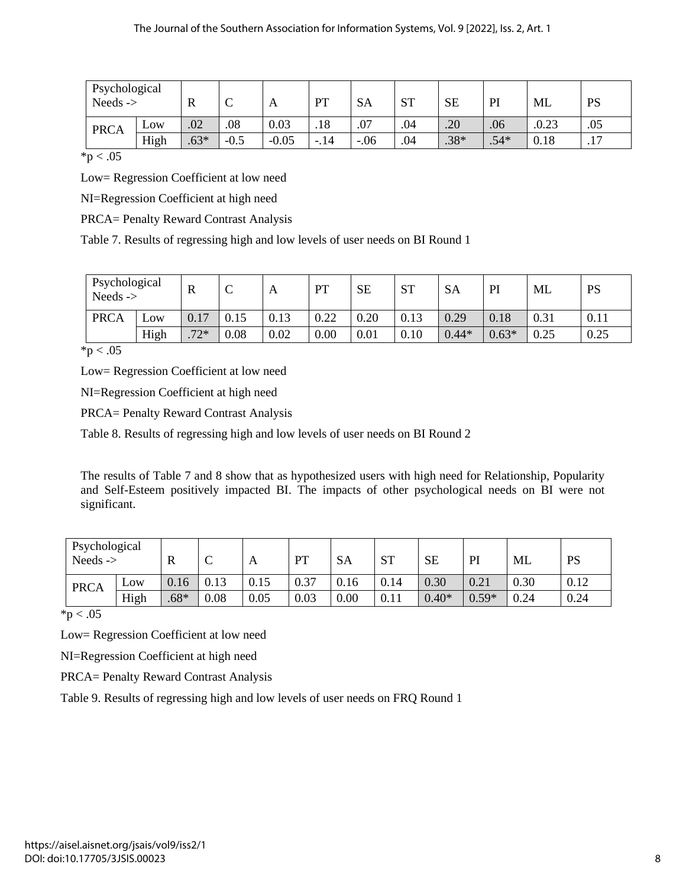| Psychological<br>Needs $\rightarrow$ |      | R      | $\sim$<br>◡ | $\mathbf{A}$ | <b>DT</b> | <b>SA</b> | <b>ST</b> | <b>SE</b> | PI     | ML    | PS        |
|--------------------------------------|------|--------|-------------|--------------|-----------|-----------|-----------|-----------|--------|-------|-----------|
| <b>PRCA</b>                          | Low  | .02    | .08         | 0.03         | .18       | .07       | .04       | .20       | .06    | .0.23 | .05       |
|                                      | High | $.63*$ | $-0.5$      | $-0.05$      | $-.14$    | $-.06$    | .04       | $.38*$    | $.54*$ | 0.18  | 17<br>.11 |

 $*p < .05$ 

Low= Regression Coefficient at low need

NI=Regression Coefficient at high need

PRCA= Penalty Reward Contrast Analysis

Table 7. Results of regressing high and low levels of user needs on BI Round 1

| Psychological<br>Needs $\rightarrow$ |      | R                                | ⌒<br>◡ | A    | PT   | <b>SE</b> | <b>ST</b> | <b>SA</b> | PI      | ML   | <b>PS</b> |
|--------------------------------------|------|----------------------------------|--------|------|------|-----------|-----------|-----------|---------|------|-----------|
| <b>PRCA</b>                          | Low  | 0.17                             | 0.15   | 0.13 | 0.22 | 0.20      | 0.13      | 0.29      | 0.18    | 0.31 | 0.11      |
|                                      | High | $72*$<br>$\cdot$ $\prime$ $\sim$ | 0.08   | 0.02 | 0.00 | 0.01      | 0.10      | $0.44*$   | $0.63*$ | 0.25 | 0.25      |

 $*p < .05$ 

Low= Regression Coefficient at low need

NI=Regression Coefficient at high need

PRCA= Penalty Reward Contrast Analysis

Table 8. Results of regressing high and low levels of user needs on BI Round 2

The results of Table 7 and 8 show that as hypothesized users with high need for Relationship, Popularity and Self-Esteem positively impacted BI. The impacts of other psychological needs on BI were not significant.

| Psychological<br>Needs $\rightarrow$ |      | R      | $\sim$<br>◡ | A    | PT   | <b>SA</b> | <b>ST</b> | <b>SE</b> | PI      | ML   | PS   |
|--------------------------------------|------|--------|-------------|------|------|-----------|-----------|-----------|---------|------|------|
| <b>PRCA</b>                          | Low  | 0.16   | 0.13        | 0.15 | 0.37 | 0.16      | 0.14      | 0.30      | 0.21    | 0.30 | 0.12 |
|                                      | High | $.68*$ | 0.08        | 0.05 | 0.03 | 0.00      | 0.11      | $0.40*$   | $0.59*$ | 0.24 | 0.24 |

 $*p < .05$ 

Low= Regression Coefficient at low need

NI=Regression Coefficient at high need

PRCA= Penalty Reward Contrast Analysis

Table 9. Results of regressing high and low levels of user needs on FRQ Round 1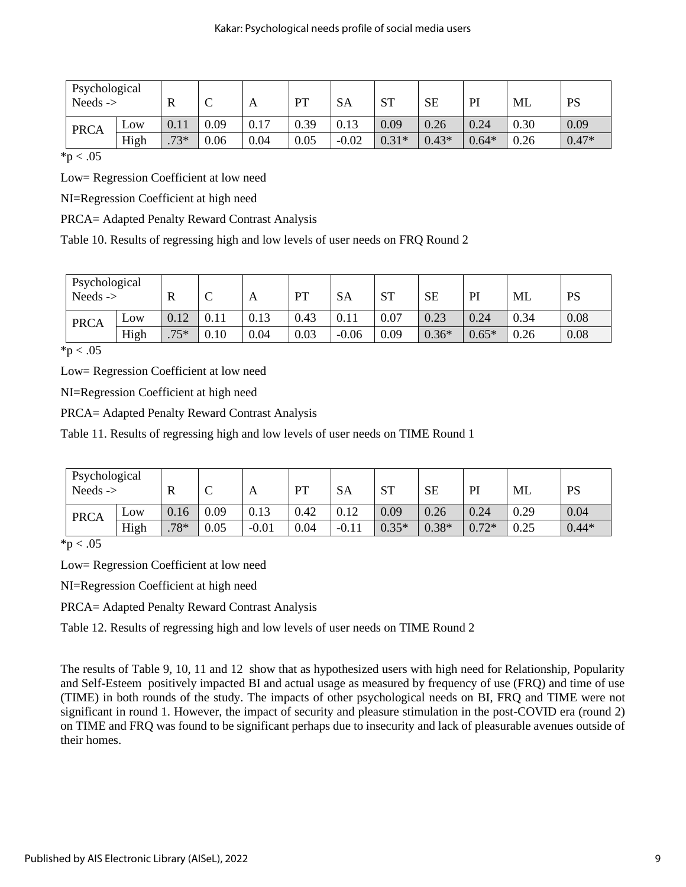| Psychological<br>Needs $\rightarrow$ |      | $\mathbb R$ | $\sqrt{ }$<br>◡ | A    | PT   | SA      | <b>ST</b> | <b>SE</b> | PI      | ML   | <b>PS</b> |
|--------------------------------------|------|-------------|-----------------|------|------|---------|-----------|-----------|---------|------|-----------|
| <b>PRCA</b>                          | Low  | 0.11        | 0.09            | 0.17 | 0.39 | 0.13    | 0.09      | 0.26      | 0.24    | 0.30 | 0.09      |
|                                      | High | $73*$       | 0.06            | 0.04 | 0.05 | $-0.02$ | $0.31*$   | $0.43*$   | $0.64*$ | 0.26 | $0.47*$   |
| $\mathbf{v}$ . $\mathbf{v}$          |      |             |                 |      |      |         |           |           |         |      |           |

 $*p < .05$ 

Low= Regression Coefficient at low need

NI=Regression Coefficient at high need

PRCA= Adapted Penalty Reward Contrast Analysis

Table 10. Results of regressing high and low levels of user needs on FRQ Round 2

| Psychological<br>Needs $\rightarrow$ |      | R      | ◡        | A    | PT   | <b>SA</b> | <b>ST</b> | <b>SE</b> | PI      | ML   | PS   |
|--------------------------------------|------|--------|----------|------|------|-----------|-----------|-----------|---------|------|------|
| <b>PRCA</b>                          | Low  | 0.12   | $0.11\,$ | 0.13 | 0.43 | V.II      | 0.07      | 0.23      | 0.24    | 0.34 | 0.08 |
|                                      | High | $.75*$ | 0.10     | 0.04 | 0.03 | $-0.06$   | 0.09      | $0.36*$   | $0.65*$ | 0.26 | 0.08 |

 $*p < .05$ 

Low= Regression Coefficient at low need

NI=Regression Coefficient at high need

PRCA= Adapted Penalty Reward Contrast Analysis

Table 11. Results of regressing high and low levels of user needs on TIME Round 1

| Psychological<br>Needs $\rightarrow$ |      | R    | ⌒<br>◡ | A       | PT   | <b>SA</b> | <b>ST</b> | <b>SE</b> | PI      | ML   | PS      |
|--------------------------------------|------|------|--------|---------|------|-----------|-----------|-----------|---------|------|---------|
| <b>PRCA</b>                          | Low  | 0.16 | 0.09   | 0.13    | 0.42 | 0.12      | 0.09      | 0.26      | 0.24    | 0.29 | 0.04    |
|                                      | High | .78* | 0.05   | $-0.01$ | 0.04 | $-0.1'$   | $0.35*$   | $0.38*$   | $0.72*$ | 0.25 | $0.44*$ |

 $*p < .05$ 

Low= Regression Coefficient at low need

NI=Regression Coefficient at high need

PRCA= Adapted Penalty Reward Contrast Analysis

Table 12. Results of regressing high and low levels of user needs on TIME Round 2

The results of Table 9, 10, 11 and 12 show that as hypothesized users with high need for Relationship, Popularity and Self-Esteem positively impacted BI and actual usage as measured by frequency of use (FRQ) and time of use (TIME) in both rounds of the study. The impacts of other psychological needs on BI, FRQ and TIME were not significant in round 1. However, the impact of security and pleasure stimulation in the post-COVID era (round 2) on TIME and FRQ was found to be significant perhaps due to insecurity and lack of pleasurable avenues outside of their homes.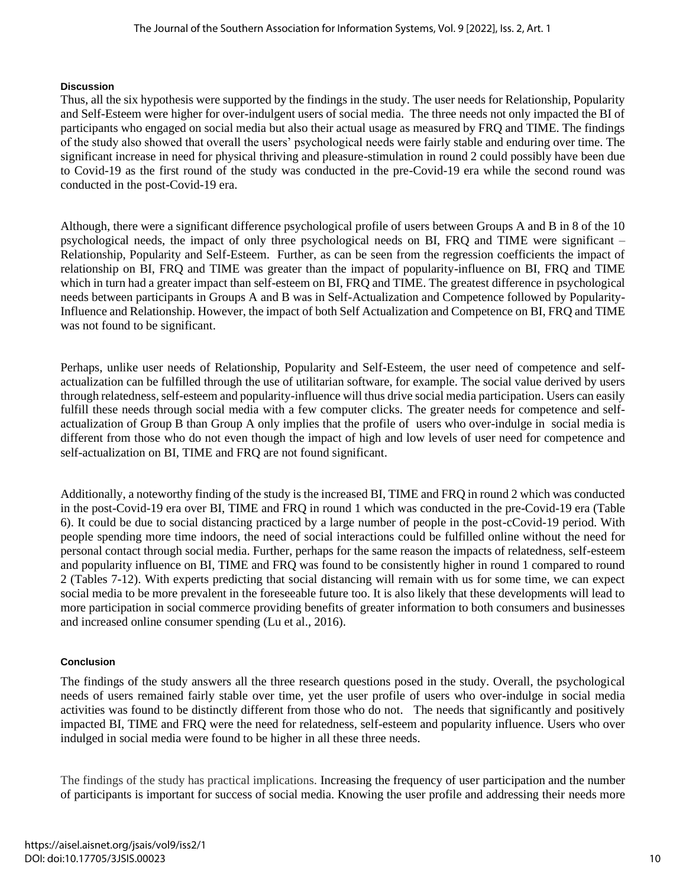# **Discussion**

Thus, all the six hypothesis were supported by the findings in the study. The user needs for Relationship, Popularity and Self-Esteem were higher for over-indulgent users of social media. The three needs not only impacted the BI of participants who engaged on social media but also their actual usage as measured by FRQ and TIME. The findings of the study also showed that overall the users' psychological needs were fairly stable and enduring over time. The significant increase in need for physical thriving and pleasure-stimulation in round 2 could possibly have been due to Covid-19 as the first round of the study was conducted in the pre-Covid-19 era while the second round was conducted in the post-Covid-19 era.

Although, there were a significant difference psychological profile of users between Groups A and B in 8 of the 10 psychological needs, the impact of only three psychological needs on BI, FRQ and TIME were significant – Relationship, Popularity and Self-Esteem. Further, as can be seen from the regression coefficients the impact of relationship on BI, FRQ and TIME was greater than the impact of popularity-influence on BI, FRQ and TIME which in turn had a greater impact than self-esteem on BI, FRQ and TIME. The greatest difference in psychological needs between participants in Groups A and B was in Self-Actualization and Competence followed by Popularity-Influence and Relationship. However, the impact of both Self Actualization and Competence on BI, FRQ and TIME was not found to be significant.

Perhaps, unlike user needs of Relationship, Popularity and Self-Esteem, the user need of competence and selfactualization can be fulfilled through the use of utilitarian software, for example. The social value derived by users through relatedness, self-esteem and popularity-influence will thus drive social media participation. Users can easily fulfill these needs through social media with a few computer clicks. The greater needs for competence and selfactualization of Group B than Group A only implies that the profile of users who over-indulge in social media is different from those who do not even though the impact of high and low levels of user need for competence and self-actualization on BI, TIME and FRQ are not found significant.

Additionally, a noteworthy finding of the study is the increased BI, TIME and FRQ in round 2 which was conducted in the post-Covid-19 era over BI, TIME and FRQ in round 1 which was conducted in the pre-Covid-19 era (Table 6). It could be due to social distancing practiced by a large number of people in the post-cCovid-19 period. With people spending more time indoors, the need of social interactions could be fulfilled online without the need for personal contact through social media. Further, perhaps for the same reason the impacts of relatedness, self-esteem and popularity influence on BI, TIME and FRQ was found to be consistently higher in round 1 compared to round 2 (Tables 7-12). With experts predicting that social distancing will remain with us for some time, we can expect social media to be more prevalent in the foreseeable future too. It is also likely that these developments will lead to more participation in social commerce providing benefits of greater information to both consumers and businesses and increased online consumer spending (Lu et al., 2016).

# **Conclusion**

The findings of the study answers all the three research questions posed in the study. Overall, the psychological needs of users remained fairly stable over time, yet the user profile of users who over-indulge in social media activities was found to be distinctly different from those who do not. The needs that significantly and positively impacted BI, TIME and FRQ were the need for relatedness, self-esteem and popularity influence. Users who over indulged in social media were found to be higher in all these three needs.

The findings of the study has practical implications. Increasing the frequency of user participation and the number of participants is important for success of social media. Knowing the user profile and addressing their needs more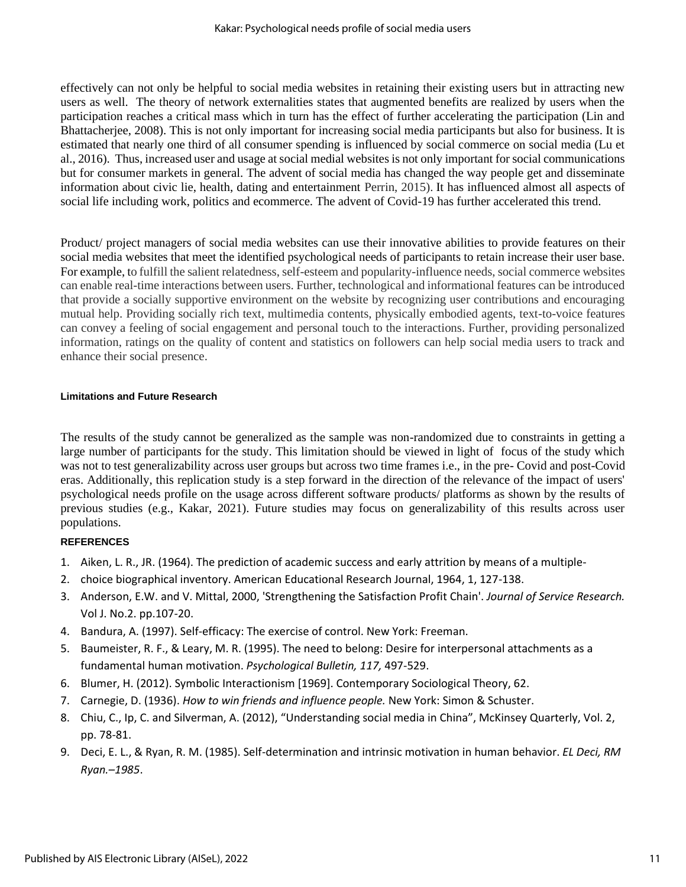effectively can not only be helpful to social media websites in retaining their existing users but in attracting new users as well. The theory of network externalities states that augmented benefits are realized by users when the participation reaches a critical mass which in turn has the effect of further accelerating the participation (Lin and Bhattacherjee, 2008). This is not only important for increasing social media participants but also for business. It is estimated that nearly one third of all consumer spending is influenced by social commerce on social media (Lu et al., 2016). Thus, increased user and usage at social medial websites is not only important for social communications but for consumer markets in general. The advent of social media has changed the way people get and disseminate information about civic lie, health, dating and entertainment Perrin, 2015). It has influenced almost all aspects of social life including work, politics and ecommerce. The advent of Covid-19 has further accelerated this trend.

Product/ project managers of social media websites can use their innovative abilities to provide features on their social media websites that meet the identified psychological needs of participants to retain increase their user base. For example, to fulfill the salient relatedness, self-esteem and popularity-influence needs, social commerce websites can enable real-time interactions between users. Further, technological and informational features can be introduced that provide a socially supportive environment on the website by recognizing user contributions and encouraging mutual help. Providing socially rich text, multimedia contents, physically embodied agents, text-to-voice features can convey a feeling of social engagement and personal touch to the interactions. Further, providing personalized information, ratings on the quality of content and statistics on followers can help social media users to track and enhance their social presence.

# **Limitations and Future Research**

The results of the study cannot be generalized as the sample was non-randomized due to constraints in getting a large number of participants for the study. This limitation should be viewed in light of focus of the study which was not to test generalizability across user groups but across two time frames i.e., in the pre- Covid and post-Covid eras. Additionally, this replication study is a step forward in the direction of the relevance of the impact of users' psychological needs profile on the usage across different software products/ platforms as shown by the results of previous studies (e.g., Kakar, 2021). Future studies may focus on generalizability of this results across user populations.

# **REFERENCES**

- 1. Aiken, L. R., JR. (1964). The prediction of academic success and early attrition by means of a multiple-
- 2. choice biographical inventory. American Educational Research Journal, 1964, 1, 127-138.
- 3. Anderson, E.W. and V. Mittal, 2000, 'Strengthening the Satisfaction Profit Chain'. *Journal of Service Research.*  Vol J. No.2. pp.107-20.
- 4. Bandura, A. (1997). Self-efficacy: The exercise of control. New York: Freeman.
- 5. Baumeister, R. F., & Leary, M. R. (1995). The need to belong: Desire for interpersonal attachments as a fundamental human motivation. *Psychological Bulletin, 117,* 497-529.
- 6. Blumer, H. (2012). Symbolic Interactionism [1969]. Contemporary Sociological Theory, 62.
- 7. Carnegie, D. (1936). *How to win friends and influence people.* New York: Simon & Schuster.
- 8. Chiu, C., Ip, C. and Silverman, A. (2012), "Understanding social media in China", McKinsey Quarterly, Vol. 2, pp. 78-81.
- 9. Deci, E. L., & Ryan, R. M. (1985). Self-determination and intrinsic motivation in human behavior. *EL Deci, RM Ryan.–1985*.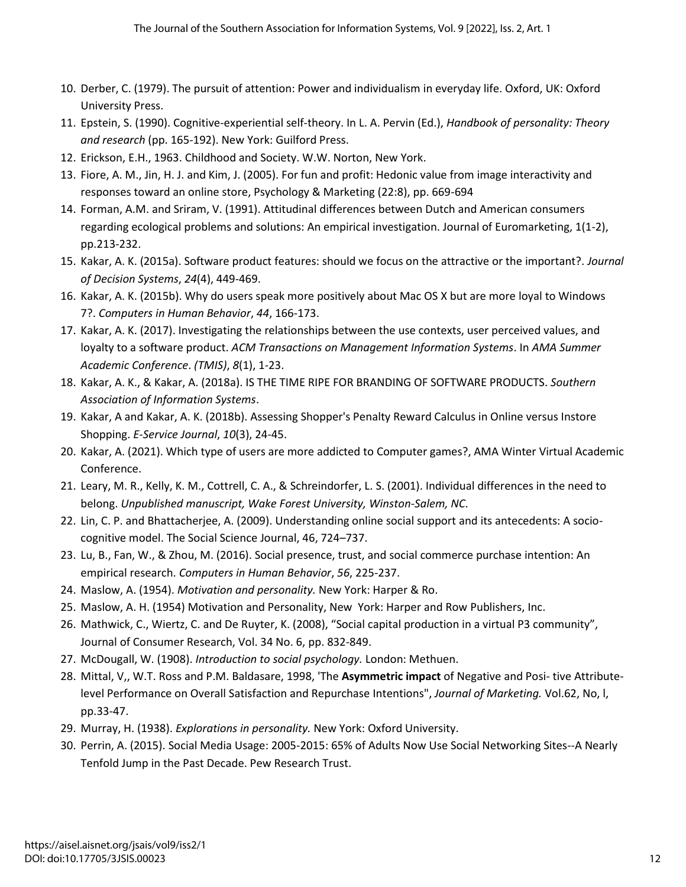- 10. Derber, C. (1979). The pursuit of attention: Power and individualism in everyday life. Oxford, UK: Oxford University Press.
- 11. Epstein, S. (1990). Cognitive-experiential self-theory. In L. A. Pervin (Ed.), *Handbook of personality: Theory and research* (pp. 165-192). New York: Guilford Press.
- 12. Erickson, E.H., 1963. Childhood and Society. W.W. Norton, New York.
- 13. Fiore, A. M., Jin, H. J. and Kim, J. (2005). For fun and profit: Hedonic value from image interactivity and responses toward an online store, Psychology & Marketing (22:8), pp. 669-694
- 14. Forman, A.M. and Sriram, V. (1991). Attitudinal differences between Dutch and American consumers regarding ecological problems and solutions: An empirical investigation. Journal of Euromarketing, 1(1-2), pp.213-232.
- 15. Kakar, A. K. (2015a). Software product features: should we focus on the attractive or the important?. *Journal of Decision Systems*, *24*(4), 449-469.
- 16. Kakar, A. K. (2015b). Why do users speak more positively about Mac OS X but are more loyal to Windows 7?. *Computers in Human Behavior*, *44*, 166-173.
- 17. Kakar, A. K. (2017). Investigating the relationships between the use contexts, user perceived values, and loyalty to a software product. *ACM Transactions on Management Information Systems*. In *AMA Summer Academic Conference*. *(TMIS)*, *8*(1), 1-23.
- 18. Kakar, A. K., & Kakar, A. (2018a). IS THE TIME RIPE FOR BRANDING OF SOFTWARE PRODUCTS. *Southern Association of Information Systems*.
- 19. Kakar, A and Kakar, A. K. (2018b). Assessing Shopper's Penalty Reward Calculus in Online versus Instore Shopping. *E-Service Journal*, *10*(3), 24-45.
- 20. Kakar, A. (2021). Which type of users are more addicted to Computer games?, AMA Winter Virtual Academic Conference.
- 21. Leary, M. R., Kelly, K. M., Cottrell, C. A., & Schreindorfer, L. S. (2001). Individual differences in the need to belong. *Unpublished manuscript, Wake Forest University, Winston-Salem, NC*.
- 22. Lin, C. P. and Bhattacherjee, A. (2009). Understanding online social support and its antecedents: A sociocognitive model. The Social Science Journal, 46, 724–737.
- 23. Lu, B., Fan, W., & Zhou, M. (2016). Social presence, trust, and social commerce purchase intention: An empirical research. *Computers in Human Behavior*, *56*, 225-237.
- 24. Maslow, A. (1954). *Motivation and personality.* New York: Harper & Ro.
- 25. Maslow, A. H. (1954) Motivation and Personality, New York: Harper and Row Publishers, Inc.
- 26. Mathwick, C., Wiertz, C. and De Ruyter, K. (2008), "Social capital production in a virtual P3 community", Journal of Consumer Research, Vol. 34 No. 6, pp. 832-849.
- 27. McDougall, W. (1908). *Introduction to social psychology.* London: Methuen.
- 28. Mittal, V,, W.T. Ross and P.M. Baldasare, 1998, 'The **Asymmetric impact** of Negative and Posi- tive Attributelevel Performance on Overall Satisfaction and Repurchase Intentions", *Journal of Marketing.* Vol.62, No, l, pp.33-47.
- 29. Murray, H. (1938). *Explorations in personality.* New York: Oxford University.
- 30. Perrin, A. (2015). Social Media Usage: 2005-2015: 65% of Adults Now Use Social Networking Sites--A Nearly Tenfold Jump in the Past Decade. Pew Research Trust.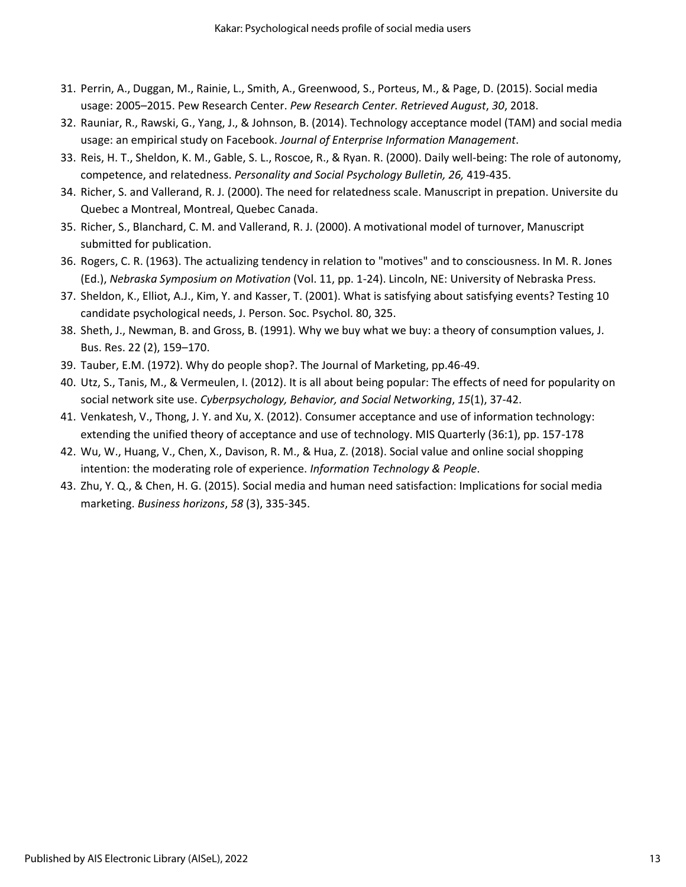- 31. Perrin, A., Duggan, M., Rainie, L., Smith, A., Greenwood, S., Porteus, M., & Page, D. (2015). Social media usage: 2005–2015. Pew Research Center. *Pew Research Center. Retrieved August*, *30*, 2018.
- 32. Rauniar, R., Rawski, G., Yang, J., & Johnson, B. (2014). Technology acceptance model (TAM) and social media usage: an empirical study on Facebook. *Journal of Enterprise Information Management*.
- 33. Reis, H. T., Sheldon, K. M., Gable, S. L., Roscoe, R., & Ryan. R. (2000). Daily well-being: The role of autonomy, competence, and relatedness. *Personality and Social Psychology Bulletin, 26,* 419-435.
- 34. Richer, S. and Vallerand, R. J. (2000). The need for relatedness scale. Manuscript in prepation. Universite du Quebec a Montreal, Montreal, Quebec Canada.
- 35. Richer, S., Blanchard, C. M. and Vallerand, R. J. (2000). A motivational model of turnover, Manuscript submitted for publication.
- 36. Rogers, C. R. (1963). The actualizing tendency in relation to "motives" and to consciousness. In M. R. Jones (Ed.), *Nebraska Symposium on Motivation* (Vol. 11, pp. 1-24). Lincoln, NE: University of Nebraska Press.
- 37. Sheldon, K., Elliot, A.J., Kim, Y. and Kasser, T. (2001). What is satisfying about satisfying events? Testing 10 candidate psychological needs, J. Person. Soc. Psychol. 80, 325.
- 38. Sheth, J., Newman, B. and Gross, B. (1991). Why we buy what we buy: a theory of consumption values, J. Bus. Res. 22 (2), 159–170.
- 39. Tauber, E.M. (1972). Why do people shop?. The Journal of Marketing, pp.46-49.
- 40. Utz, S., Tanis, M., & Vermeulen, I. (2012). It is all about being popular: The effects of need for popularity on social network site use. *Cyberpsychology, Behavior, and Social Networking*, *15*(1), 37-42.
- 41. Venkatesh, V., Thong, J. Y. and Xu, X. (2012). Consumer acceptance and use of information technology: extending the unified theory of acceptance and use of technology. MIS Quarterly (36:1), pp. 157-178
- 42. Wu, W., Huang, V., Chen, X., Davison, R. M., & Hua, Z. (2018). Social value and online social shopping intention: the moderating role of experience. *Information Technology & People*.
- 43. Zhu, Y. Q., & Chen, H. G. (2015). Social media and human need satisfaction: Implications for social media marketing. *Business horizons*, *58* (3), 335-345.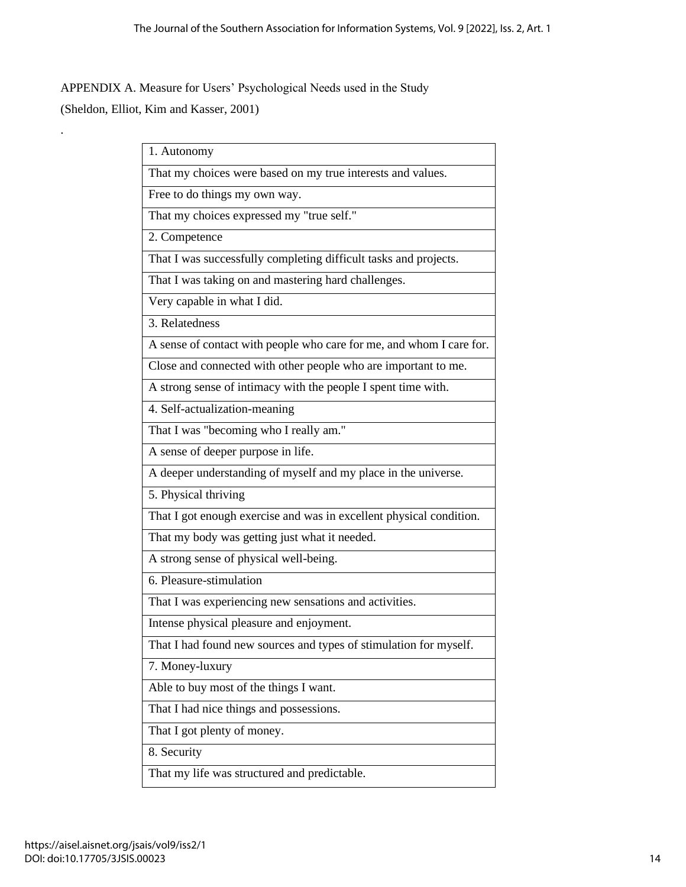APPENDIX A. Measure for Users' Psychological Needs used in the Study (Sheldon, Elliot, Kim and Kasser, 2001)

.

| 1. Autonomy                                                          |
|----------------------------------------------------------------------|
| That my choices were based on my true interests and values.          |
| Free to do things my own way.                                        |
| That my choices expressed my "true self."                            |
| 2. Competence                                                        |
| That I was successfully completing difficult tasks and projects.     |
| That I was taking on and mastering hard challenges.                  |
| Very capable in what I did.                                          |
| 3. Relatedness                                                       |
| A sense of contact with people who care for me, and whom I care for. |
| Close and connected with other people who are important to me.       |
| A strong sense of intimacy with the people I spent time with.        |
| 4. Self-actualization-meaning                                        |
| That I was "becoming who I really am."                               |
| A sense of deeper purpose in life.                                   |
| A deeper understanding of myself and my place in the universe.       |
| 5. Physical thriving                                                 |
| That I got enough exercise and was in excellent physical condition.  |
| That my body was getting just what it needed.                        |
| A strong sense of physical well-being.                               |
| 6. Pleasure-stimulation                                              |
| That I was experiencing new sensations and activities.               |
| Intense physical pleasure and enjoyment.                             |
| That I had found new sources and types of stimulation for myself.    |
| 7. Money-luxury                                                      |
| Able to buy most of the things I want.                               |
| That I had nice things and possessions.                              |
| That I got plenty of money.                                          |
| 8. Security                                                          |
| That my life was structured and predictable.                         |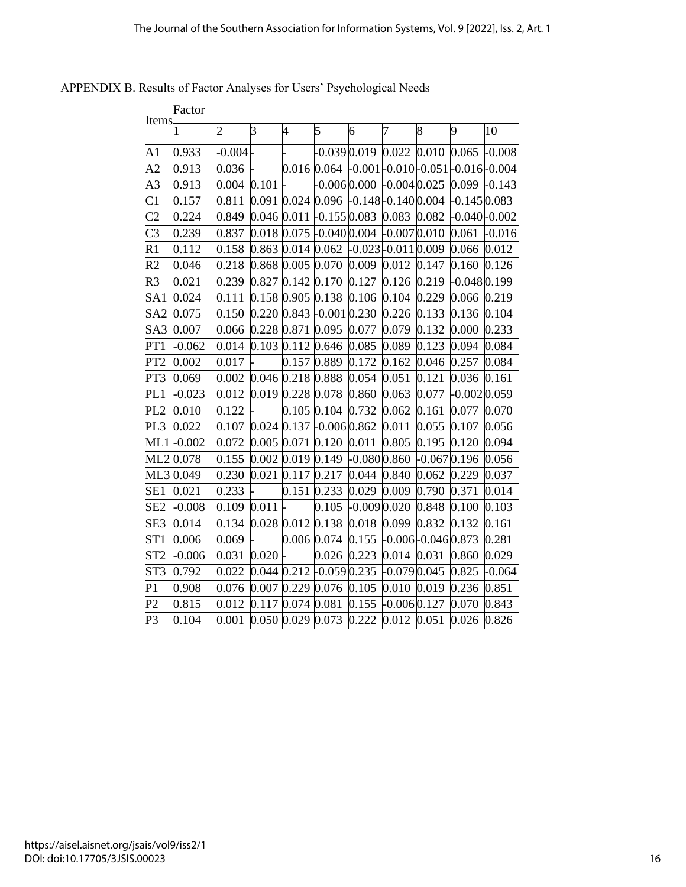|                            | Factor    |                |             |                     |                                       |                                          |               |                     |                  |          |
|----------------------------|-----------|----------------|-------------|---------------------|---------------------------------------|------------------------------------------|---------------|---------------------|------------------|----------|
| Items                      | 1         | $\overline{c}$ | 3           | $\overline{4}$      | 5                                     | 6                                        | 7             | 8                   | 9                | 10       |
| $\mathop{\rm A}\nolimits1$ | 0.933     | $-0.004$       |             |                     | $-0.039\,0.019$                       |                                          |               | 0.022 0.010 0.065   |                  | $-0.008$ |
| A <sub>2</sub>             | 0.913     | 0.036          |             | 0.016 0.064         |                                       | $-0.001 - 0.010 - 0.051 - 0.016 - 0.004$ |               |                     |                  |          |
| A3                         | 0.913     | 0.004          | 0.101       |                     | $-0.0060000$                          |                                          | $-0.0040.025$ |                     | 0.099            | $-0.143$ |
| C <sub>1</sub>             | 0.157     | 0.811          |             |                     | 0.091 0.024 0.096 -0.148 -0.140 0.004 |                                          |               |                     | $-0.1450.083$    |          |
| C <sub>2</sub>             | 0.224     | 0.849          | 0.046 0.011 |                     | $-0.1550.083$                         |                                          | 0.083 0.082   |                     | $-0.040 - 0.002$ |          |
| C3                         | 0.239     | 0.837          |             |                     | $0.018$ 0.075 -0.040 0.004            |                                          | $-0.0070.010$ |                     | 0.061            | $-0.016$ |
| R1                         | 0.112     | 0.158          |             | 0.863 0.014 0.062   |                                       | -0.023 -0.011 0.009                      |               |                     | 0.066            | 0.012    |
| R <sub>2</sub>             | 0.046     | 0.218          |             |                     | 0.868 0.005 0.070                     | 0.009 0.012 0.147                        |               |                     | 0.160            | 0.126    |
| R3                         | 0.021     | 0.239          |             | 0.827 0.142 0.170   |                                       | 0.127                                    | 0.126         | 0.219               | $-0.0480.199$    |          |
| SA1                        | 0.024     | 0.111          |             | 0.158 0.905 0.138   |                                       | 0.106                                    | 0.104         | 0.229               | 0.066            | 0.219    |
| SA <sub>2</sub>            | 0.075     | 0.150          |             |                     | $0.220$ $0.843$ -0.001 0.230          |                                          | 0.226         | 0.133               | 0.136            | 0.104    |
| SA3                        | 0.007     | 0.066          |             | 0.228 0.871 0.095   |                                       | 0.077                                    | 0.079         | 0.132               | 0.000            | 0.233    |
| PT1                        | $-0.062$  | 0.014          |             | 0.103 0.112 0.646   |                                       | 0.085                                    | 0.089         | 0.123               | 0.094            | 0.084    |
| PT <sub>2</sub>            | 0.002     | 0.017          |             | 0.157 0.889         |                                       | 0.172                                    | 0.162         | 0.046               | 0.257            | 0.084    |
| PT3                        | 0.069     | 0.002          |             | 0.046 0.218 0.888   |                                       | 0.054                                    | 0.051         | 0.121               | 0.036            | 0.161    |
| PL <sub>1</sub>            | $-0.023$  | 0.012          |             | 0.019 0.228 0.078   |                                       | 0.860                                    | 0.063         | 0.077               | $-0.0020.059$    |          |
| PL <sub>2</sub>            | 0.010     | 0.122          |             | 0.105 0.104         |                                       | 0.732                                    | 0.062         | 0.161               | 0.077            | 0.070    |
| PL3                        | 0.022     | 0.107          |             |                     | $0.024$ $0.137$ $-0.006$ $0.862$      |                                          | 0.011         | 0.055               | 0.107            | 0.056    |
| ML1                        | $-0.002$  | 0.072          |             | $0.005$ 0.071 0.120 |                                       | 0.011                                    | 0.805         | 0.195               | 0.120            | 0.094    |
|                            | ML2 0.078 | 0.155          |             | $0.002$ 0.019 0.149 |                                       | $-0.0800.860$                            |               | $-0.0670.196$       |                  | 0.056    |
|                            | ML3 0.049 | 0.230          |             | 0.021 0.117 0.217   |                                       | 0.044                                    | 0.840         | 0.062               | 0.229            | 0.037    |
| SE1                        | 0.021     | 0.233          |             | 0.151 0.233         |                                       | 0.029                                    | 0.009         | 0.790               | 0.371            | 0.014    |
| SE2                        | $-0.008$  | 0.109          | 0.011       |                     | 0.105                                 | $-0.0090.020$                            |               | 0.848               | 0.100            | 0.103    |
| SE3                        | 0.014     | 0.134          |             | 0.028 0.012 0.138   |                                       | 0.018                                    | 0.099         | 0.832               | 0.132            | 0.161    |
| ST1                        | 0.006     | 0.069          |             | 0.006 0.074         |                                       | 0.155                                    |               | -0.006 -0.046 0.873 |                  | 0.281    |
| ST <sub>2</sub>            | $-0.006$  | 0.031          | $0.020$ -   |                     | 0.026                                 | 0.223                                    | 0.014 0.031   |                     | 0.860            | 0.029    |
| ST3                        | 0.792     | 0.022          |             |                     | $0.044$ $0.212$ -0.059 0.235          |                                          | $-0.0790.045$ |                     | 0.825            | $-0.064$ |
| P <sub>1</sub>             | 0.908     | 0.076          |             | 0.007 0.229 0.076   |                                       | 0.105                                    | 0.010 0.019   |                     | 0.236            | 0.851    |
| P <sub>2</sub>             | 0.815     | 0.012          |             | 0.117 0.074 0.081   |                                       | 0.155                                    | $-0.0060.127$ |                     | 0.070            | 0.843    |
| P3                         | 0.104     | 0.001          |             | 0.050 0.029 0.073   |                                       | 0.222                                    | 0.012 0.051   |                     | 0.026            | 0.826    |

APPENDIX B. Results of Factor Analyses for Users' Psychological Needs